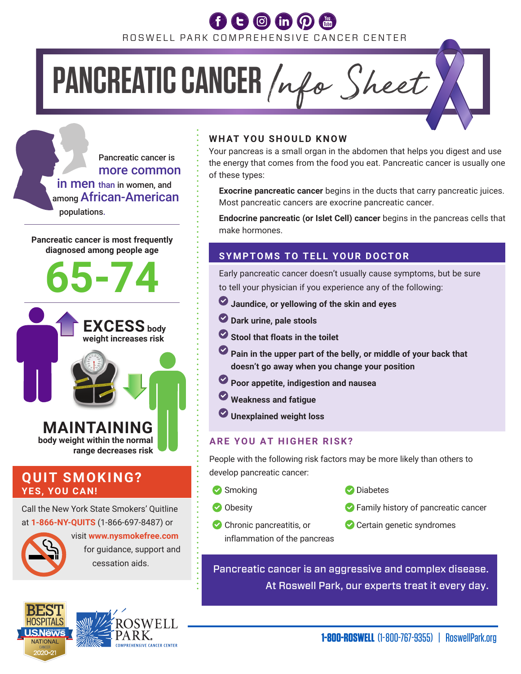ROSWELL PARK COMPREHENSIVE CANCER CENTER

# PANCREATIC CANCER /nfo Sheet

 Pancreatic cancer is more common **in men** than in women, and among African-American populations.

**Pancreatic cancer is most frequently diagnosed among people age**



### **QUIT SMOKING? YES, YOU CAN!**

Call the New York State Smokers' Quitline at **1-866-NY-QUITS** (1-866-697-8487) or



 visit **www.nysmokefree.com** for guidance, support and





### **WHAT YOU SHOULD KNOW**

Your pancreas is a small organ in the abdomen that helps you digest and use the energy that comes from the food you eat. Pancreatic cancer is usually one of these types:

**Exocrine pancreatic cancer** begins in the ducts that carry pancreatic juices. Most pancreatic cancers are exocrine pancreatic cancer.

**Endocrine pancreatic (or Islet Cell) cancer** begins in the pancreas cells that make hormones.

### **SYMPTOMS TO TELL YOUR DOCTOR**

 Early pancreatic cancer doesn't usually cause symptoms, but be sure to tell your physician if you experience any of the following:

- **Jaundice, or yellowing of the skin and eyes**
- **Dark urine, pale stools**
- $\bullet$  **Stool that floats in the toilet**
- **Pain in the upper part of the belly, or middle of your back that doesn't go away when you change your position**
- **Poor appetite, indigestion and nausea**
- **Weakness and fatigue**
- **Unexplained weight loss**

### **ARE YOU AT HIGHER RISK?**

People with the following risk factors may be more likely than others to develop pancreatic cancer:

- **Smoking Community Diabetes**
- 
- 
- Obesity **Family history of pancreatic cancer**
- inflammation of the pancreas
- Chronic pancreatitis, or Certain genetic syndromes

 $\frac{1}{2}$  essation aids. Pancreatic cancer is an aggressive and complex disease. At Roswell Park, our experts treat it every day.